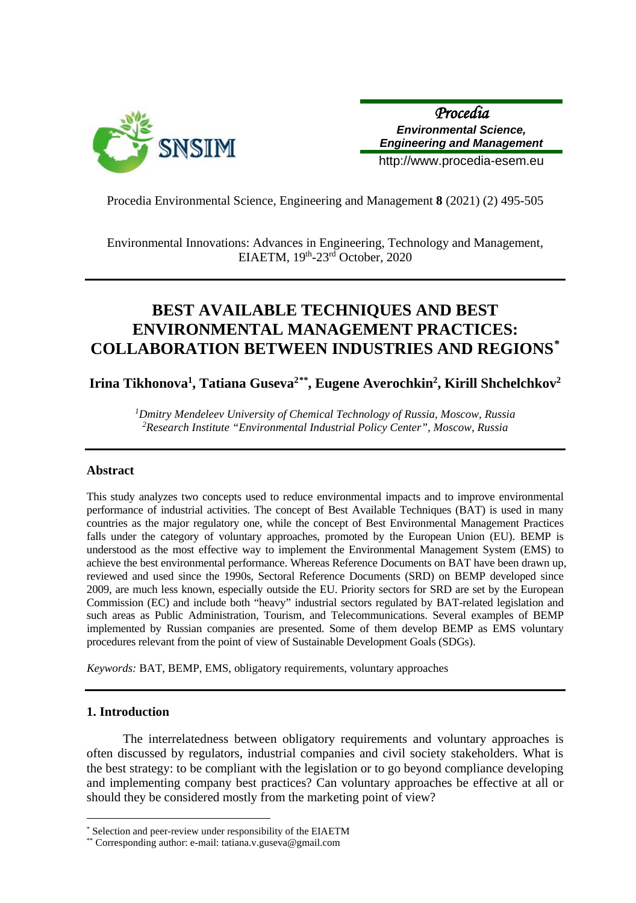

*Procedia Environmental Science, Engineering and Management*

http://www.procedia-esem.eu

Procedia Environmental Science, Engineering and Management **8** (2021) (2) 495-505

Environmental Innovations: Advances in Engineering, Technology and Management, EIAETM, 19th-23rd October, 2020

# **BEST AVAILABLE TECHNIQUES AND BEST ENVIRONMENTAL MANAGEMENT PRACTICES: COLLABORATION BETWEEN INDUSTRIES AND REGIONS[\\*](#page-0-0)**

**Irina Tikhonova1 , Tatiana Guseva2[\\*\\*,](#page-0-1) Eugene Averochkin2 , Kirill Shchelchkov2**

*1Dmitry Mendeleev University of Chemical Technology of Russia, Moscow, Russia 2 Research Institute "Environmental Industrial Policy Center", Moscow, Russia*

## **Abstract**

This study analyzes two concepts used to reduce environmental impacts and to improve environmental performance of industrial activities. The concept of Best Available Techniques (BAT) is used in many countries as the major regulatory one, while the concept of Best Environmental Management Practices falls under the category of voluntary approaches, promoted by the European Union (EU). BEMP is understood as the most effective way to implement the Environmental Management System (EMS) to achieve the best environmental performance. Whereas Reference Documents on BAT have been drawn up, reviewed and used since the 1990s, Sectoral Reference Documents (SRD) on BEMP developed since 2009, are much less known, especially outside the EU. Priority sectors for SRD are set by the European Commission (EC) and include both "heavy" industrial sectors regulated by BAT-related legislation and such areas as Public Administration, Tourism, and Telecommunications. Several examples of BEMP implemented by Russian companies are presented. Some of them develop BEMP as EMS voluntary procedures relevant from the point of view of Sustainable Development Goals (SDGs).

*Keywords:* BAT, BEMP, EMS, obligatory requirements, voluntary approaches

## **1. Introduction**

 $\overline{a}$ 

The interrelatedness between obligatory requirements and voluntary approaches is often discussed by regulators, industrial companies and civil society stakeholders. What is the best strategy: to be compliant with the legislation or to go beyond compliance developing and implementing company best practices? Can voluntary approaches be effective at all or should they be considered mostly from the marketing point of view?

<span id="page-0-0"></span>Selection and peer-review under responsibility of the EIAETM

<span id="page-0-1"></span><sup>\*\*</sup> Corresponding author: e-mail: tatiana.v.guseva@gmail.com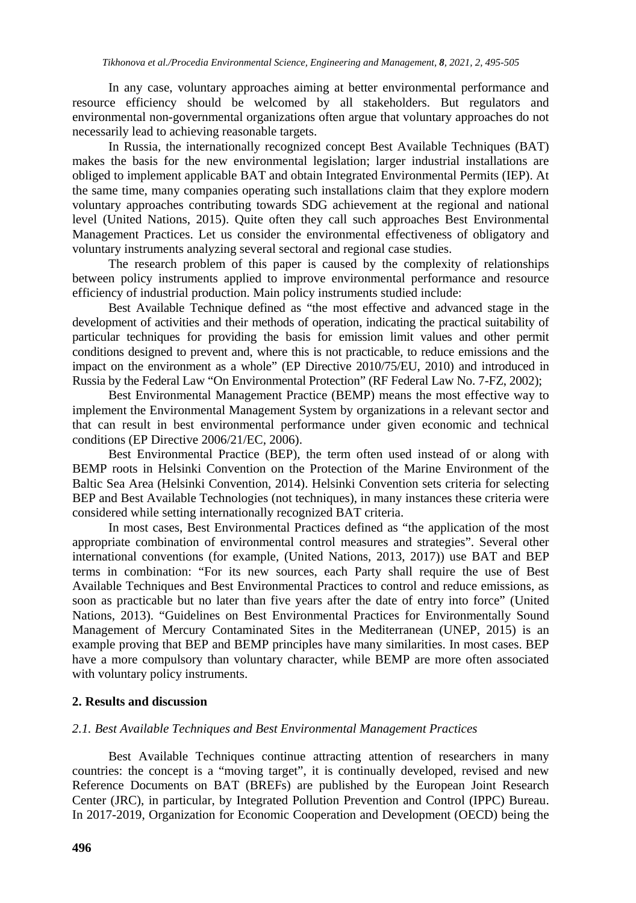In any case, voluntary approaches aiming at better environmental performance and resource efficiency should be welcomed by all stakeholders. But regulators and environmental non-governmental organizations often argue that voluntary approaches do not necessarily lead to achieving reasonable targets.

In Russia, the internationally recognized concept Best Available Techniques (BAT) makes the basis for the new environmental legislation; larger industrial installations are obliged to implement applicable BAT and obtain Integrated Environmental Permits (IEP). At the same time, many companies operating such installations claim that they explore modern voluntary approaches contributing towards SDG achievement at the regional and national level (United Nations, 2015). Quite often they call such approaches Best Environmental Management Practices. Let us consider the environmental effectiveness of obligatory and voluntary instruments analyzing several sectoral and regional case studies.

The research problem of this paper is caused by the complexity of relationships between policy instruments applied to improve environmental performance and resource efficiency of industrial production. Main policy instruments studied include:

Best Available Technique defined as "the most effective and advanced stage in the development of activities and their methods of operation, indicating the practical suitability of particular techniques for providing the basis for emission limit values and other permit conditions designed to prevent and, where this is not practicable, to reduce emissions and the impact on the environment as a whole" (EP Directive 2010/75/EU, 2010) and introduced in Russia by the Federal Law "On Environmental Protection" (RF Federal Law No. 7-FZ, 2002);

Best Environmental Management Practice (BEMP) means the most effective way to implement the Environmental Management System by organizations in a relevant sector and that can result in best environmental performance under given economic and technical conditions (EP Directive 2006/21/EC, 2006).

Best Environmental Practice (BEP), the term often used instead of or along with BEMP roots in Helsinki Convention on the Protection of the Marine Environment of the Baltic Sea Area (Helsinki Convention, 2014). Helsinki Convention sets criteria for selecting BEP and Best Available Technologies (not techniques), in many instances these criteria were considered while setting internationally recognized BAT criteria.

In most cases, Best Environmental Practices defined as "the application of the most appropriate combination of environmental control measures and strategies". Several other international conventions (for example, (United Nations, 2013, 2017)) use BAT and BEP terms in combination: "For its new sources, each Party shall require the use of Best Available Techniques and Best Environmental Practices to control and reduce emissions, as soon as practicable but no later than five years after the date of entry into force" (United Nations, 2013). "Guidelines on Best Environmental Practices for Environmentally Sound Management of Mercury Contaminated Sites in the Mediterranean (UNEP, 2015) is an example proving that BEP and BEMP principles have many similarities. In most cases. BEP have a more compulsory than voluntary character, while BEMP are more often associated with voluntary policy instruments.

## **2. Results and discussion**

# *2.1. Best Available Techniques and Best Environmental Management Practices*

Best Available Techniques continue attracting attention of researchers in many countries: the concept is a "moving target", it is continually developed, revised and new Reference Documents on BAT (BREFs) are published by the European Joint Research Center (JRC), in particular, by Integrated Pollution Prevention and Control (IPPC) Bureau. In 2017-2019, Organization for Economic Cooperation and Development (OECD) being the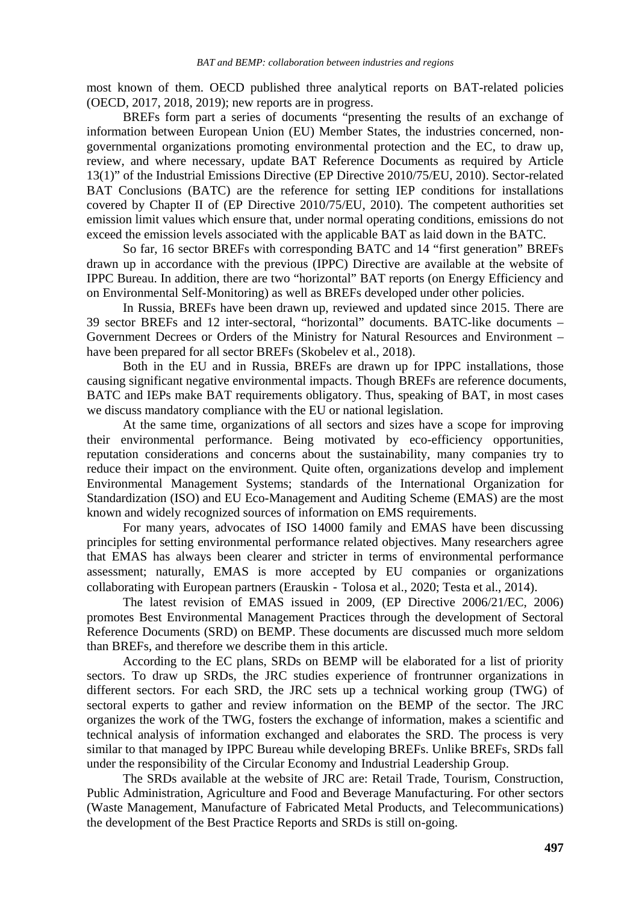most known of them. OECD published three analytical reports on BAT-related policies (OECD, 2017, 2018, 2019); new reports are in progress.

BREFs form part a series of documents "presenting the results of an exchange of information between European Union (EU) Member States, the industries concerned, nongovernmental organizations promoting environmental protection and the EC, to draw up, review, and where necessary, update BAT Reference Documents as required by Article 13(1)" of the Industrial Emissions Directive (EP Directive 2010/75/EU, 2010). Sector-related BAT Conclusions (BATC) are the reference for setting IEP conditions for installations covered by Chapter II of (EP Directive 2010/75/EU, 2010). The competent authorities set emission limit values which ensure that, under normal operating conditions, emissions do not exceed the emission levels associated with the applicable BAT as laid down in the BATC.

So far, 16 sector BREFs with corresponding BATC and 14 "first generation" BREFs drawn up in accordance with the previous (IPPC) Directive are available at the website of IPPC Bureau. In addition, there are two "horizontal" BAT reports (on Energy Efficiency and on Environmental Self-Monitoring) as well as BREFs developed under other policies.

In Russia, BREFs have been drawn up, reviewed and updated since 2015. There are 39 sector BREFs and 12 inter-sectoral, "horizontal" documents. BATC-like documents – Government Decrees or Orders of the Ministry for Natural Resources and Environment – have been prepared for all sector BREFs (Skobelev et al., 2018).

Both in the EU and in Russia, BREFs are drawn up for IPPC installations, those causing significant negative environmental impacts. Though BREFs are reference documents, BATC and IEPs make BAT requirements obligatory. Thus, speaking of BAT, in most cases we discuss mandatory compliance with the EU or national legislation.

At the same time, organizations of all sectors and sizes have a scope for improving their environmental performance. Being motivated by eco-efficiency opportunities, reputation considerations and concerns about the sustainability, many companies try to reduce their impact on the environment. Quite often, organizations develop and implement Environmental Management Systems; standards of the International Organization for Standardization (ISO) and EU Eco-Management and Auditing Scheme (EMAS) are the most known and widely recognized sources of information on EMS requirements.

For many years, advocates of ISO 14000 family and EMAS have been discussing principles for setting environmental performance related objectives. Many researchers agree that EMAS has always been clearer and stricter in terms of environmental performance assessment; naturally, EMAS is more accepted by EU companies or organizations collaborating with European partners (Erauskin‐Tolosa et al., 2020; Testa et al., 2014).

The latest revision of EMAS issued in 2009, (EP Directive 2006/21/EC, 2006) promotes Best Environmental Management Practices through the development of Sectoral Reference Documents (SRD) on BEMP. These documents are discussed much more seldom than BREFs, and therefore we describe them in this article.

According to the EC plans, SRDs on BEMP will be elaborated for a list of priority sectors. To draw up SRDs, the JRC studies experience of frontrunner organizations in different sectors. For each SRD, the JRC sets up a technical working group (TWG) of sectoral experts to gather and review information on the BEMP of the sector. The JRC organizes the work of the TWG, fosters the exchange of information, makes a scientific and technical analysis of information exchanged and elaborates the SRD. The process is very similar to that managed by IPPC Bureau while developing BREFs. Unlike BREFs, SRDs fall under the responsibility of the Circular Economy and Industrial Leadership Group.

The SRDs available at the website of JRC are: Retail Trade, Tourism, Construction, Public Administration, Agriculture and Food and Beverage Manufacturing. For other sectors (Waste Management, Manufacture of Fabricated Metal Products, and Telecommunications) the development of the Best Practice Reports and SRDs is still on-going.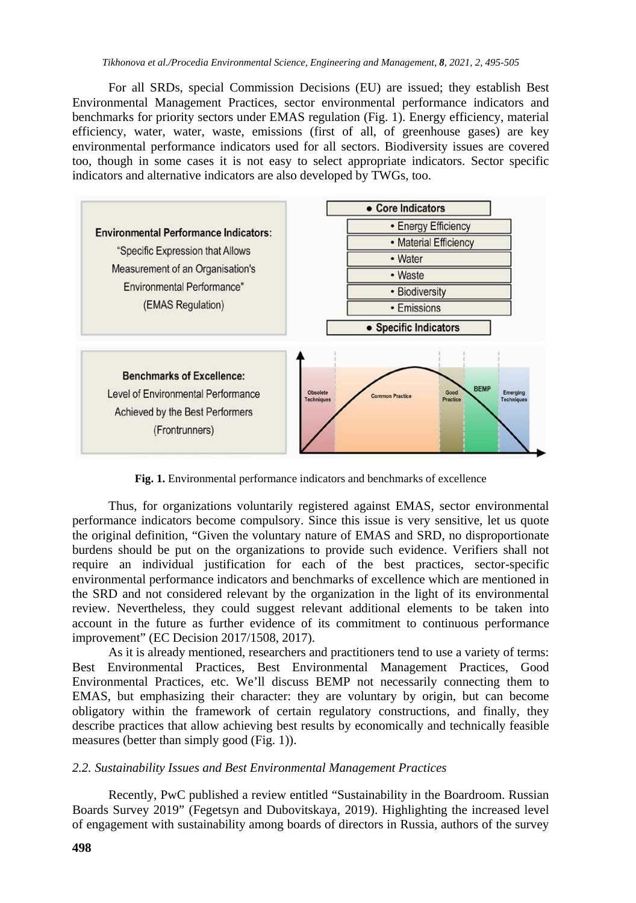For all SRDs, special Commission Decisions (EU) are issued; they establish Best Environmental Management Practices, sector environmental performance indicators and benchmarks for priority sectors under EMAS regulation (Fig. 1). Energy efficiency, material efficiency, water, water, waste, emissions (first of all, of greenhouse gases) are key environmental performance indicators used for all sectors. Biodiversity issues are covered too, though in some cases it is not easy to select appropriate indicators. Sector specific indicators and alternative indicators are also developed by TWGs, too.



**Fig. 1.** Environmental performance indicators and benchmarks of excellence

Thus, for organizations voluntarily registered against EMAS, sector environmental performance indicators become compulsory. Since this issue is very sensitive, let us quote the original definition, "Given the voluntary nature of EMAS and SRD, no disproportionate burdens should be put on the organizations to provide such evidence. Verifiers shall not require an individual justification for each of the best practices, sector-specific environmental performance indicators and benchmarks of excellence which are mentioned in the SRD and not considered relevant by the organization in the light of its environmental review. Nevertheless, they could suggest relevant additional elements to be taken into account in the future as further evidence of its commitment to continuous performance improvement" (EC Decision 2017/1508, 2017).

As it is already mentioned, researchers and practitioners tend to use a variety of terms: Best Environmental Practices, Best Environmental Management Practices, Good Environmental Practices, etc. We'll discuss BEMP not necessarily connecting them to EMAS, but emphasizing their character: they are voluntary by origin, but can become obligatory within the framework of certain regulatory constructions, and finally, they describe practices that allow achieving best results by economically and technically feasible measures (better than simply good (Fig. 1)).

## *2.2. Sustainability Issues and Best Environmental Management Practices*

Recently, PwC published a review entitled "Sustainability in the Boardroom. Russian Boards Survey 2019" (Fegetsyn and Dubovitskaya, 2019). Highlighting the increased level of engagement with sustainability among boards of directors in Russia, authors of the survey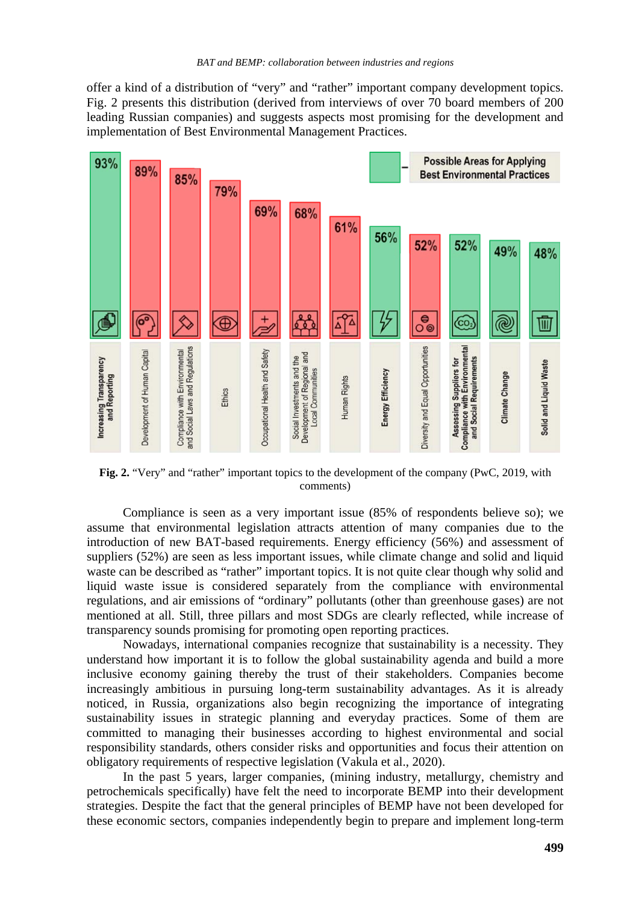offer a kind of a distribution of "very" and "rather" important company development topics. Fig. 2 presents this distribution (derived from interviews of over 70 board members of 200 leading Russian companies) and suggests aspects most promising for the development and implementation of Best Environmental Management Practices.



**Fig. 2.** "Very" and "rather" important topics to the development of the company (PwC, 2019, with comments)

Compliance is seen as a very important issue (85% of respondents believe so); we assume that environmental legislation attracts attention of many companies due to the introduction of new BAT-based requirements. Energy efficiency (56%) and assessment of suppliers (52%) are seen as less important issues, while climate change and solid and liquid waste can be described as "rather" important topics. It is not quite clear though why solid and liquid waste issue is considered separately from the compliance with environmental regulations, and air emissions of "ordinary" pollutants (other than greenhouse gases) are not mentioned at all. Still, three pillars and most SDGs are clearly reflected, while increase of transparency sounds promising for promoting open reporting practices.

Nowadays, international companies recognize that sustainability is a necessity. They understand how important it is to follow the global sustainability agenda and build a more inclusive economy gaining thereby the trust of their stakeholders. Companies become increasingly ambitious in pursuing long-term sustainability advantages. As it is already noticed, in Russia, organizations also begin recognizing the importance of integrating sustainability issues in strategic planning and everyday practices. Some of them are committed to managing their businesses according to highest environmental and social responsibility standards, others consider risks and opportunities and focus their attention on obligatory requirements of respective legislation (Vakula et al., 2020).

In the past 5 years, larger companies, (mining industry, metallurgy, chemistry and petrochemicals specifically) have felt the need to incorporate BEMP into their development strategies. Despite the fact that the general principles of BEMP have not been developed for these economic sectors, companies independently begin to prepare and implement long-term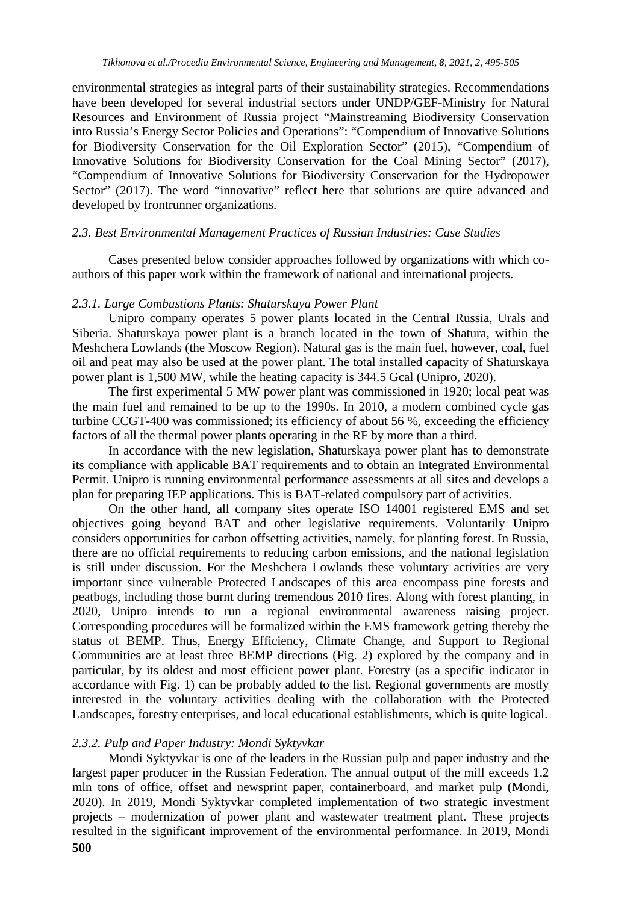environmental strategies as integral parts of their sustainability strategies. Recommendations have been developed for several industrial sectors under UNDP/GEF-Ministry for Natural Resources and Environment of Russia project "Mainstreaming Biodiversity Conservation into Russia's Energy Sector Policies and Operations": "Compendium of Innovative Solutions for Biodiversity Conservation for the Oil Exploration Sector" (2015), "Compendium of Innovative Solutions for Biodiversity Conservation for the Coal Mining Sector" (2017), "Compendium of Innovative Solutions for Biodiversity Conservation for the Hydropower Sector" (2017). The word "innovative" reflect here that solutions are quire advanced and developed by frontrunner organizations.

## *2.3. Best Environmental Management Practices of Russian Industries: Case Studies*

Cases presented below consider approaches followed by organizations with which coauthors of this paper work within the framework of national and international projects.

#### *2.3.1. Large Combustions Plants: Shaturskaya Power Plant*

Unipro company operates 5 power plants located in the Central Russia, Urals and Siberia. Shaturskaya power plant is a branch located in the town of Shatura, within the Meshchera Lowlands (the Moscow Region). Natural gas is the main fuel, however, coal, fuel oil and peat may also be used at the power plant. The total installed capacity of Shaturskaya power plant is 1,500 MW, while the heating capacity is 344.5 Gcal (Unipro, 2020).

The first experimental 5 MW power plant was commissioned in 1920; local peat was the main fuel and remained to be up to the 1990s. In 2010, a modern combined cycle gas turbine CCGT-400 was commissioned; its efficiency of about 56 %, exceeding the efficiency factors of all the thermal power plants operating in the RF by more than a third.

In accordance with the new legislation, Shaturskaya power plant has to demonstrate its compliance with applicable BAT requirements and to obtain an Integrated Environmental Permit. Unipro is running environmental performance assessments at all sites and develops a plan for preparing IEP applications. This is BAT-related compulsory part of activities.

On the other hand, all company sites operate ISO 14001 registered EMS and set objectives going beyond BAT and other legislative requirements. Voluntarily Unipro considers opportunities for carbon offsetting activities, namely, for planting forest. In Russia, there are no official requirements to reducing carbon emissions, and the national legislation is still under discussion. For the Meshchera Lowlands these voluntary activities are very important since vulnerable Protected Landscapes of this area encompass pine forests and peatbogs, including those burnt during tremendous 2010 fires. Along with forest planting, in 2020, Unipro intends to run a regional environmental awareness raising project. Corresponding procedures will be formalized within the EMS framework getting thereby the status of BEMP. Thus, Energy Efficiency, Climate Change, and Support to Regional Communities are at least three BEMP directions (Fig. 2) explored by the company and in particular, by its oldest and most efficient power plant. Forestry (as a specific indicator in accordance with Fig. 1) can be probably added to the list. Regional governments are mostly interested in the voluntary activities dealing with the collaboration with the Protected Landscapes, forestry enterprises, and local educational establishments, which is quite logical.

#### *2.3.2. Pulp and Paper Industry: Mondi Syktyvkar*

Mondi Syktyvkar is one of the leaders in the Russian pulp and paper industry and the largest paper producer in the Russian Federation. The annual output of the mill exceeds 1.2 mln tons of office, offset and newsprint paper, containerboard, and market pulp (Mondi, 2020). In 2019, Mondi Syktyvkar completed implementation of two strategic investment projects – modernization of power plant and wastewater treatment plant. These projects resulted in the significant improvement of the environmental performance. In 2019, Mondi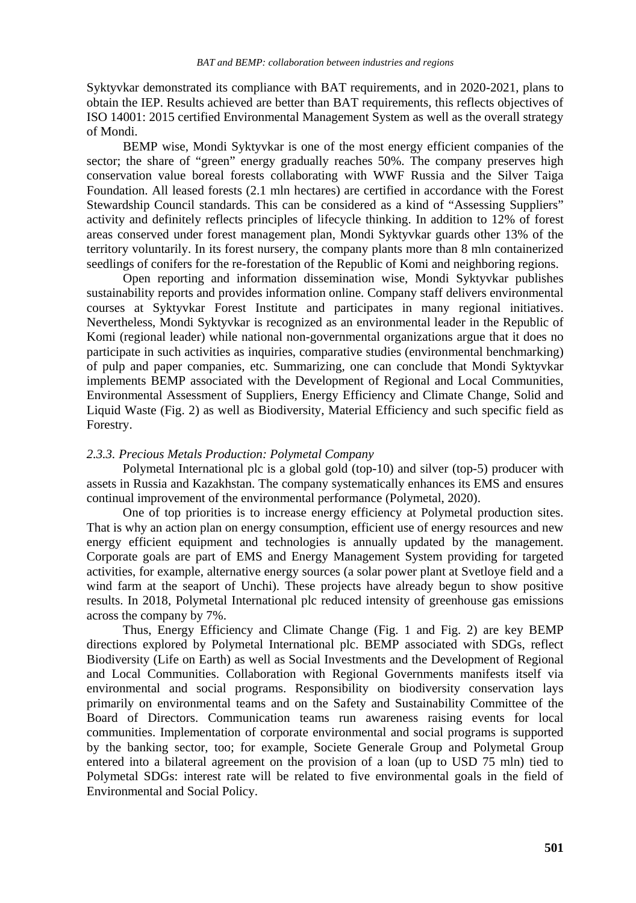Syktyvkar demonstrated its compliance with BAT requirements, and in 2020-2021, plans to obtain the IEP. Results achieved are better than BAT requirements, this reflects objectives of ISO 14001: 2015 certified Environmental Management System as well as the overall strategy of Mondi.

BEMP wise, Mondi Syktyvkar is one of the most energy efficient companies of the sector; the share of "green" energy gradually reaches 50%. The company preserves high conservation value boreal forests collaborating with WWF Russia and the Silver Taiga Foundation. All leased forests (2.1 mln hectares) are certified in accordance with the Forest Stewardship Council standards. This can be considered as a kind of "Assessing Suppliers" activity and definitely reflects principles of lifecycle thinking. In addition to 12% of forest areas conserved under forest management plan, Mondi Syktyvkar guards other 13% of the territory voluntarily. In its forest nursery, the company plants more than 8 mln containerized seedlings of conifers for the re-forestation of the Republic of Komi and neighboring regions.

Open reporting and information dissemination wise, Mondi Syktyvkar publishes sustainability reports and provides information online. Company staff delivers environmental courses at Syktyvkar Forest Institute and participates in many regional initiatives. Nevertheless, Mondi Syktyvkar is recognized as an environmental leader in the Republic of Komi (regional leader) while national non-governmental organizations argue that it does no participate in such activities as inquiries, comparative studies (environmental benchmarking) of pulp and paper companies, etc. Summarizing, one can conclude that Mondi Syktyvkar implements BEMP associated with the Development of Regional and Local Communities, Environmental Assessment of Suppliers, Energy Efficiency and Climate Change, Solid and Liquid Waste (Fig. 2) as well as Biodiversity, Material Efficiency and such specific field as Forestry.

# *2.3.3. Precious Metals Production: Polymetal Company*

Polymetal International plc is a global gold (top-10) and silver (top-5) producer with assets in Russia and Kazakhstan. The company systematically enhances its EMS and ensures continual improvement of the environmental performance (Polymetal, 2020).

One of top priorities is to increase energy efficiency at Polymetal production sites. That is why an action plan on energy consumption, efficient use of energy resources and new energy efficient equipment and technologies is annually updated by the management. Corporate goals are part of EMS and Energy Management System providing for targeted activities, for example, alternative energy sources (a solar power plant at Svetloye field and a wind farm at the seaport of Unchi). These projects have already begun to show positive results. In 2018, Polymetal International plc reduced intensity of greenhouse gas emissions across the company by 7%.

Thus, Energy Efficiency and Climate Change (Fig. 1 and Fig. 2) are key BEMP directions explored by Polymetal International plc. BEMP associated with SDGs, reflect Biodiversity (Life on Earth) as well as Social Investments and the Development of Regional and Local Communities. Collaboration with Regional Governments manifests itself via environmental and social programs. Responsibility on biodiversity conservation lays primarily on environmental teams and on the Safety and Sustainability Committee of the Board of Directors. Communication teams run awareness raising events for local communities. Implementation of corporate environmental and social programs is supported by the banking sector, too; for example, Societe Generale Group and Polymetal Group entered into a bilateral agreement on the provision of a loan (up to USD 75 mln) tied to Polymetal SDGs: interest rate will be related to five environmental goals in the field of Environmental and Social Policy.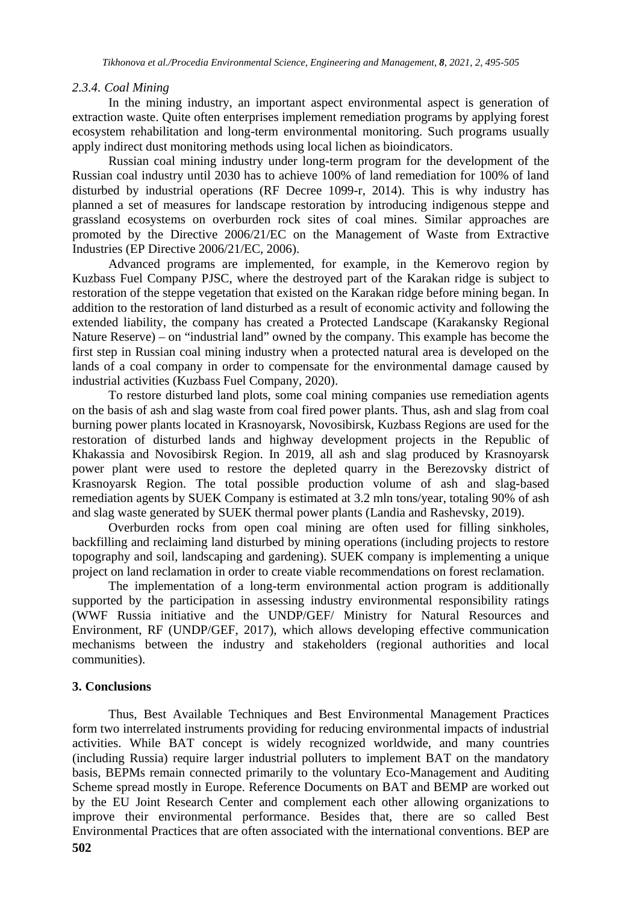# *2.3.4. Coal Mining*

In the mining industry, an important aspect environmental aspect is generation of extraction waste. Quite often enterprises implement remediation programs by applying forest ecosystem rehabilitation and long-term environmental monitoring. Such programs usually apply indirect dust monitoring methods using local lichen as bioindicators.

Russian coal mining industry under long-term program for the development of the Russian coal industry until 2030 has to achieve 100% of land remediation for 100% of land disturbed by industrial operations (RF Decree 1099-r, 2014). This is why industry has planned a set of measures for landscape restoration by introducing indigenous steppe and grassland ecosystems on overburden rock sites of coal mines. Similar approaches are promoted by the Directive 2006/21/EC on the Management of Waste from Extractive Industries (EP Directive 2006/21/EC, 2006).

Advanced programs are implemented, for example, in the Kemerovo region by Kuzbass Fuel Company PJSC, where the destroyed part of the Karakan ridge is subject to restoration of the steppe vegetation that existed on the Karakan ridge before mining began. In addition to the restoration of land disturbed as a result of economic activity and following the extended liability, the company has created a Protected Landscape (Karakansky Regional Nature Reserve) – on "industrial land" owned by the company. This example has become the first step in Russian coal mining industry when a protected natural area is developed on the lands of a coal company in order to compensate for the environmental damage caused by industrial activities (Kuzbass Fuel Company, 2020).

To restore disturbed land plots, some coal mining companies use remediation agents on the basis of ash and slag waste from coal fired power plants. Thus, ash and slag from coal burning power plants located in Krasnoyarsk, Novosibirsk, Kuzbass Regions are used for the restoration of disturbed lands and highway development projects in the Republic of Khakassia and Novosibirsk Region. In 2019, all ash and slag produced by Krasnoyarsk power plant were used to restore the depleted quarry in the Berezovsky district of Krasnoyarsk Region. The total possible production volume of ash and slag-based remediation agents by SUEK Company is estimated at 3.2 mln tons/year, totaling 90% of ash and slag waste generated by SUEK thermal power plants (Landia and Rashevsky, 2019).

Overburden rocks from open coal mining are often used for filling sinkholes, backfilling and reclaiming land disturbed by mining operations (including projects to restore topography and soil, landscaping and gardening). SUEK company is implementing a unique project on land reclamation in order to create viable recommendations on forest reclamation.

The implementation of a long-term environmental action program is additionally supported by the participation in assessing industry environmental responsibility ratings (WWF Russia initiative and the UNDP/GEF/ Ministry for Natural Resources and Environment, RF (UNDP/GEF, 2017), which allows developing effective communication mechanisms between the industry and stakeholders (regional authorities and local communities).

# **3. Conclusions**

Thus, Best Available Techniques and Best Environmental Management Practices form two interrelated instruments providing for reducing environmental impacts of industrial activities. While BAT concept is widely recognized worldwide, and many countries (including Russia) require larger industrial polluters to implement BAT on the mandatory basis, BEPMs remain connected primarily to the voluntary Eco-Management and Auditing Scheme spread mostly in Europe. Reference Documents on BAT and BEMP are worked out by the EU Joint Research Center and complement each other allowing organizations to improve their environmental performance. Besides that, there are so called Best Environmental Practices that are often associated with the international conventions. BEP are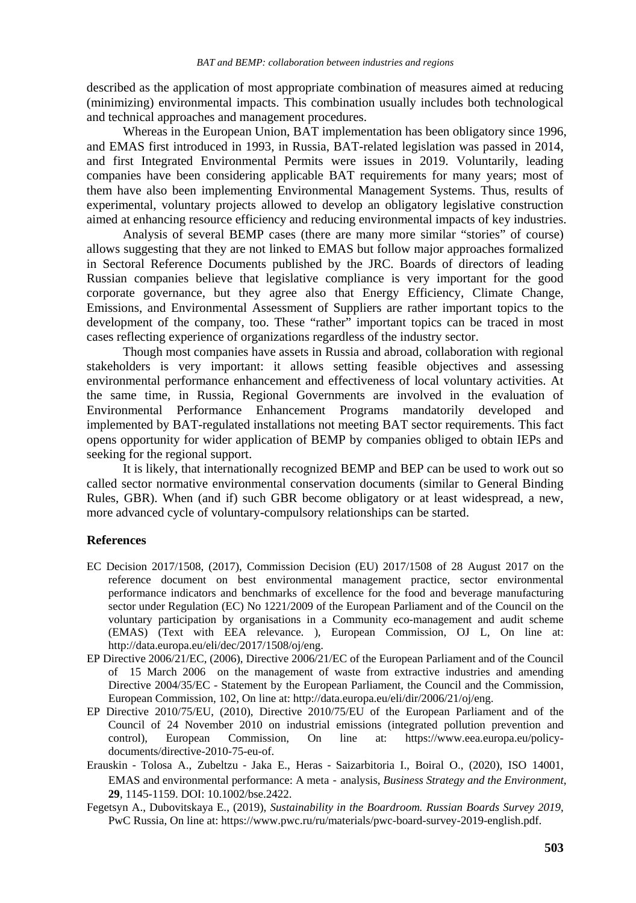described as the application of most appropriate combination of measures aimed at reducing (minimizing) environmental impacts. This combination usually includes both technological and technical approaches and management procedures.

Whereas in the European Union, BAT implementation has been obligatory since 1996, and EMAS first introduced in 1993, in Russia, BAT-related legislation was passed in 2014, and first Integrated Environmental Permits were issues in 2019. Voluntarily, leading companies have been considering applicable BAT requirements for many years; most of them have also been implementing Environmental Management Systems. Thus, results of experimental, voluntary projects allowed to develop an obligatory legislative construction aimed at enhancing resource efficiency and reducing environmental impacts of key industries.

Analysis of several BEMP cases (there are many more similar "stories" of course) allows suggesting that they are not linked to EMAS but follow major approaches formalized in Sectoral Reference Documents published by the JRC. Boards of directors of leading Russian companies believe that legislative compliance is very important for the good corporate governance, but they agree also that Energy Efficiency, Climate Change, Emissions, and Environmental Assessment of Suppliers are rather important topics to the development of the company, too. These "rather" important topics can be traced in most cases reflecting experience of organizations regardless of the industry sector.

Though most companies have assets in Russia and abroad, collaboration with regional stakeholders is very important: it allows setting feasible objectives and assessing environmental performance enhancement and effectiveness of local voluntary activities. At the same time, in Russia, Regional Governments are involved in the evaluation of Environmental Performance Enhancement Programs mandatorily developed and implemented by BAT-regulated installations not meeting BAT sector requirements. This fact opens opportunity for wider application of BEMP by companies obliged to obtain IEPs and seeking for the regional support.

It is likely, that internationally recognized BEMP and BEP can be used to work out so called sector normative environmental conservation documents (similar to General Binding Rules, GBR). When (and if) such GBR become obligatory or at least widespread, a new, more advanced cycle of voluntary-compulsory relationships can be started.

#### **References**

- EC Decision 2017/1508, (2017), Commission Decision (EU) 2017/1508 of 28 August 2017 on the reference document on best environmental management practice, sector environmental performance indicators and benchmarks of excellence for the food and beverage manufacturing sector under Regulation (EC) No 1221/2009 of the European Parliament and of the Council on the voluntary participation by organisations in a Community eco-management and audit scheme (EMAS) (Text with EEA relevance. ), European Commission, OJ L, On line at: http://data.europa.eu/eli/dec/2017/1508/oj/eng.
- EP Directive 2006/21/EC, (2006), Directive 2006/21/EC of the European Parliament and of the Council of 15 March 2006 on the management of waste from extractive industries and amending Directive 2004/35/EC - Statement by the European Parliament, the Council and the Commission, European Commission, 102, On line at: http://data.europa.eu/eli/dir/2006/21/oj/eng.
- EP Directive 2010/75/EU, (2010), Directive 2010/75/EU of the European Parliament and of the Council of 24 November 2010 on industrial emissions (integrated pollution prevention and control), European Commission, On line at: https://www.eea.europa.eu/policycontrol), European Commission, On line at: https://www.eea.europa.eu/policydocuments/directive-2010-75-eu-of.
- Erauskin‐Tolosa A., Zubeltzu‐Jaka E., Heras‐Saizarbitoria I., Boiral O., (2020), ISO 14001, EMAS and environmental performance: A meta‐analysis, *Business Strategy and the Environment*, **29**, 1145-1159. DOI: 10.1002/bse.2422.
- Fegetsyn A., Dubovitskaya E., (2019), *Sustainability in the Boardroom. Russian Boards Survey 2019*, PwC Russia, On line at: https://www.pwc.ru/ru/materials/pwc-board-survey-2019-english.pdf.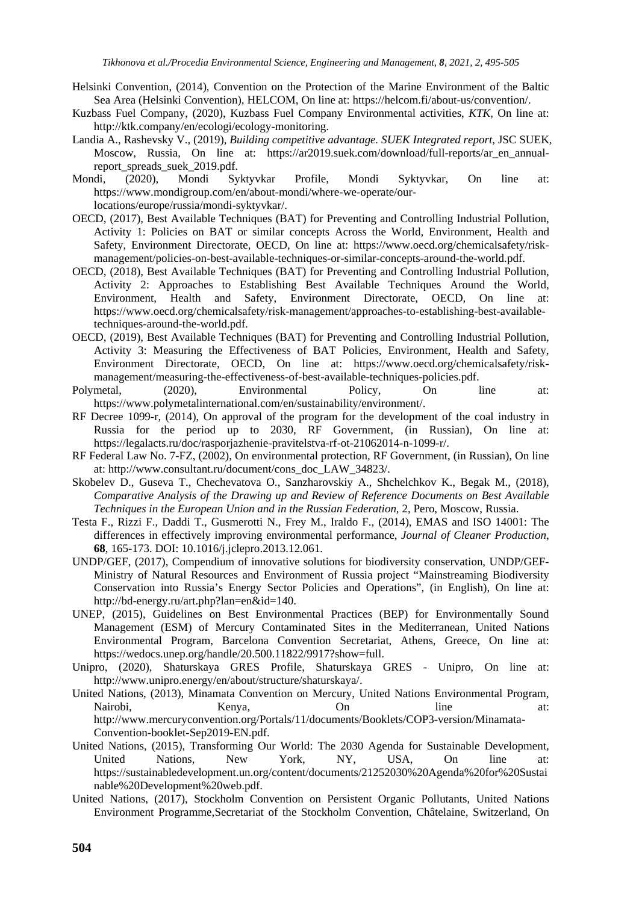- Helsinki Convention, (2014), Convention on the Protection of the Marine Environment of the Baltic Sea Area (Helsinki Convention), HELCOM, On line at: https://helcom.fi/about-us/convention/.
- Kuzbass Fuel Company, (2020), Kuzbass Fuel Company Environmental activities, *KTK*, On line at: http://ktk.company/en/ecologi/ecology-monitoring.
- Landia A., Rashevsky V., (2019), *Building competitive advantage. SUEK Integrated report*, JSC SUEK, Moscow, Russia, On line at: https://ar2019.suek.com/download/full-reports/ar\_en\_annualreport\_spreads\_suek\_2019.pdf.
- Mondi, (2020), Mondi Syktyvkar Profile, Mondi Syktyvkar, On line at: https://www.mondigroup.com/en/about-mondi/where-we-operate/ourlocations/europe/russia/mondi-syktyvkar/.
- OECD, (2017), Best Available Techniques (BAT) for Preventing and Controlling Industrial Pollution, Activity 1: Policies on BAT or similar concepts Across the World, Environment, Health and Safety, Environment Directorate, OECD, On line at: https://www.oecd.org/chemicalsafety/riskmanagement/policies-on-best-available-techniques-or-similar-concepts-around-the-world.pdf.
- OECD, (2018), Best Available Techniques (BAT) for Preventing and Controlling Industrial Pollution, Activity 2: Approaches to Establishing Best Available Techniques Around the World, Environment, Health and Safety, Environment Directorate, OECD, On line at: https://www.oecd.org/chemicalsafety/risk-management/approaches-to-establishing-best-availabletechniques-around-the-world.pdf.
- OECD, (2019), Best Available Techniques (BAT) for Preventing and Controlling Industrial Pollution, Activity 3: Measuring the Effectiveness of BAT Policies, Environment, Health and Safety, Environment Directorate, OECD, On line at: https://www.oecd.org/chemicalsafety/riskmanagement/measuring-the-effectiveness-of-best-available-techniques-policies.pdf.
- Polymetal, (2020), Environmental Policy, On line at: https://www.polymetalinternational.com/en/sustainability/environment/.
- RF Decree 1099-r, (2014), On approval of the program for the development of the coal industry in Russia for the period up to 2030, RF Government, (in Russian), On line at: https://legalacts.ru/doc/rasporjazhenie-pravitelstva-rf-ot-21062014-n-1099-r/.
- RF Federal Law No. 7-FZ, (2002), On environmental protection, RF Government, (in Russian), On line at: http://www.consultant.ru/document/cons\_doc\_LAW\_34823/.
- Skobelev D., Guseva T., Chechevatova O., Sanzharovskiy A., Shchelchkov K., Begak M., (2018), *Comparative Analysis of the Drawing up and Review of Reference Documents on Best Available Techniques in the European Union and in the Russian Federation*, 2, Pero, Moscow, Russia.
- Testa F., Rizzi F., Daddi T., Gusmerotti N., Frey M., Iraldo F., (2014), EMAS and ISO 14001: The differences in effectively improving environmental performance, *Journal of Cleaner Production*, **68**, 165-173. DOI: 10.1016/j.jclepro.2013.12.061.
- UNDP/GEF, (2017), Compendium of innovative solutions for biodiversity conservation, UNDP/GEF-Ministry of Natural Resources and Environment of Russia project "Mainstreaming Biodiversity Conservation into Russia's Energy Sector Policies and Operations", (in English), On line at: http://bd-energy.ru/art.php?lan=en&id=140.
- UNEP, (2015), Guidelines on Best Environmental Practices (BEP) for Environmentally Sound Management (ESM) of Mercury Contaminated Sites in the Mediterranean, United Nations Environmental Program, Barcelona Convention Secretariat, Athens, Greece, On line at: https://wedocs.unep.org/handle/20.500.11822/9917?show=full.
- Unipro, (2020), Shaturskaya GRES Profile, Shaturskaya GRES Unipro, On line at: http://www.unipro.energy/en/about/structure/shaturskaya/.
- United Nations, (2013), Minamata Convention on Mercury, United Nations Environmental Program, Nairobi, Kenya, On line at: http://www.mercuryconvention.org/Portals/11/documents/Booklets/COP3-version/Minamata-Convention-booklet-Sep2019-EN.pdf.
- United Nations, (2015), Transforming Our World: The 2030 Agenda for Sustainable Development, United Nations, New York, NY, USA, On line at: https://sustainabledevelopment.un.org/content/documents/21252030%20Agenda%20for%20Sustai nable%20Development%20web.pdf.
- United Nations, (2017), Stockholm Convention on Persistent Organic Pollutants, United Nations Environment Programme,Secretariat of the Stockholm Convention, Châtelaine, Switzerland, On